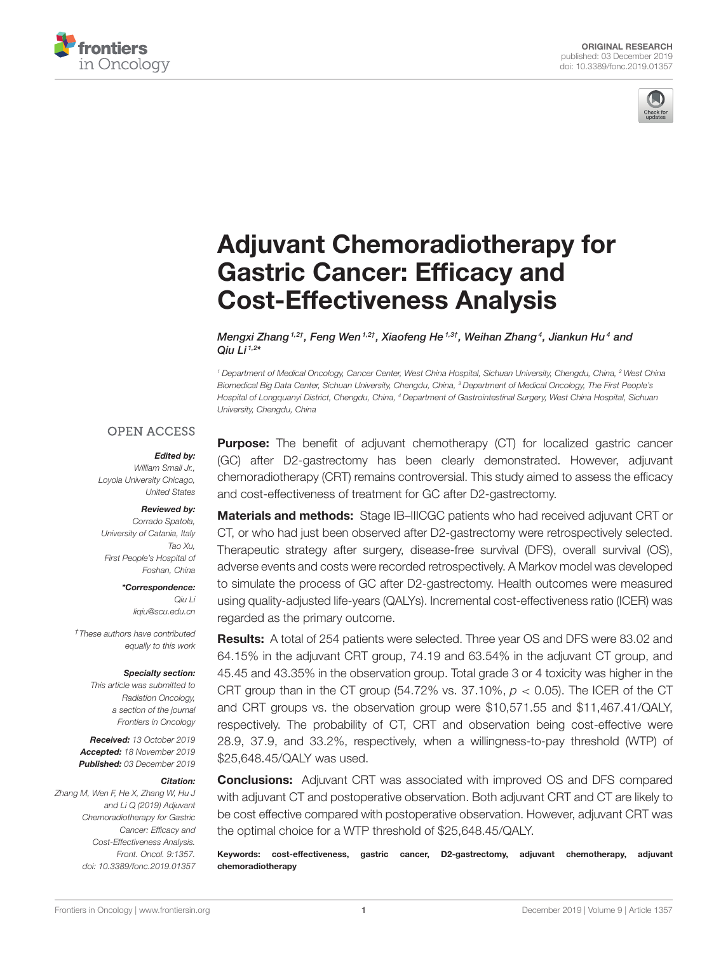



# [Adjuvant Chemoradiotherapy for](https://www.frontiersin.org/articles/10.3389/fonc.2019.01357/full) Gastric Cancer: Efficacy and Cost-Effectiveness Analysis

[Mengxi Zhang](http://loop.frontiersin.org/people/837928/overview) <sup>1,2†</sup>, [Feng Wen](http://loop.frontiersin.org/people/856349/overview) <sup>1,2†</sup>, [Xiaofeng He](http://loop.frontiersin.org/people/856435/overview) <sup>1,3†</sup>, [Weihan Zhang](http://loop.frontiersin.org/people/856365/overview)<sup>4</sup>, [Jiankun Hu](http://loop.frontiersin.org/people/605444/overview)<sup>4</sup> and [Qiu Li](http://loop.frontiersin.org/people/796347/overview)  $1,2*$ 

*<sup>1</sup> Department of Medical Oncology, Cancer Center, West China Hospital, Sichuan University, Chengdu, China, <sup>2</sup> West China Biomedical Big Data Center, Sichuan University, Chengdu, China, <sup>3</sup> Department of Medical Oncology, The First People's Hospital of Longquanyi District, Chengdu, China, <sup>4</sup> Department of Gastrointestinal Surgery, West China Hospital, Sichuan University, Chengdu, China*

### **OPEN ACCESS**

### Edited by:

*William Small Jr., Loyola University Chicago, United States*

### Reviewed by:

*Corrado Spatola, University of Catania, Italy Tao Xu, First People's Hospital of Foshan, China*

> \*Correspondence: *Qiu Li [liqiu@scu.edu.cn](mailto:liqiu@scu.edu.cn)*

*†These authors have contributed equally to this work*

#### Specialty section:

*This article was submitted to Radiation Oncology, a section of the journal Frontiers in Oncology*

Received: *13 October 2019* Accepted: *18 November 2019* Published: *03 December 2019*

#### Citation:

*Zhang M, Wen F, He X, Zhang W, Hu J and Li Q (2019) Adjuvant Chemoradiotherapy for Gastric Cancer: Efficacy and Cost-Effectiveness Analysis. Front. Oncol. 9:1357. doi: [10.3389/fonc.2019.01357](https://doi.org/10.3389/fonc.2019.01357)*

**Purpose:** The benefit of adjuvant chemotherapy (CT) for localized gastric cancer (GC) after D2-gastrectomy has been clearly demonstrated. However, adjuvant chemoradiotherapy (CRT) remains controversial. This study aimed to assess the efficacy and cost-effectiveness of treatment for GC after D2-gastrectomy.

Materials and methods: Stage IB–IIICGC patients who had received adjuvant CRT or CT, or who had just been observed after D2-gastrectomy were retrospectively selected. Therapeutic strategy after surgery, disease-free survival (DFS), overall survival (OS), adverse events and costs were recorded retrospectively. A Markov model was developed to simulate the process of GC after D2-gastrectomy. Health outcomes were measured using quality-adjusted life-years (QALYs). Incremental cost-effectiveness ratio (ICER) was regarded as the primary outcome.

Results: A total of 254 patients were selected. Three year OS and DFS were 83.02 and 64.15% in the adjuvant CRT group, 74.19 and 63.54% in the adjuvant CT group, and 45.45 and 43.35% in the observation group. Total grade 3 or 4 toxicity was higher in the CRT group than in the CT group (54.72% vs. 37.10%, *p* < 0.05). The ICER of the CT and CRT groups vs. the observation group were \$10,571.55 and \$11,467.41/QALY, respectively. The probability of CT, CRT and observation being cost-effective were 28.9, 37.9, and 33.2%, respectively, when a willingness-to-pay threshold (WTP) of \$25,648.45/QALY was used.

**Conclusions:** Adjuvant CRT was associated with improved OS and DFS compared with adjuvant CT and postoperative observation. Both adjuvant CRT and CT are likely to be cost effective compared with postoperative observation. However, adjuvant CRT was the optimal choice for a WTP threshold of \$25,648.45/QALY.

Keywords: cost-effectiveness, gastric cancer, D2-gastrectomy, adjuvant chemotherapy, adjuvant chemoradiotherapy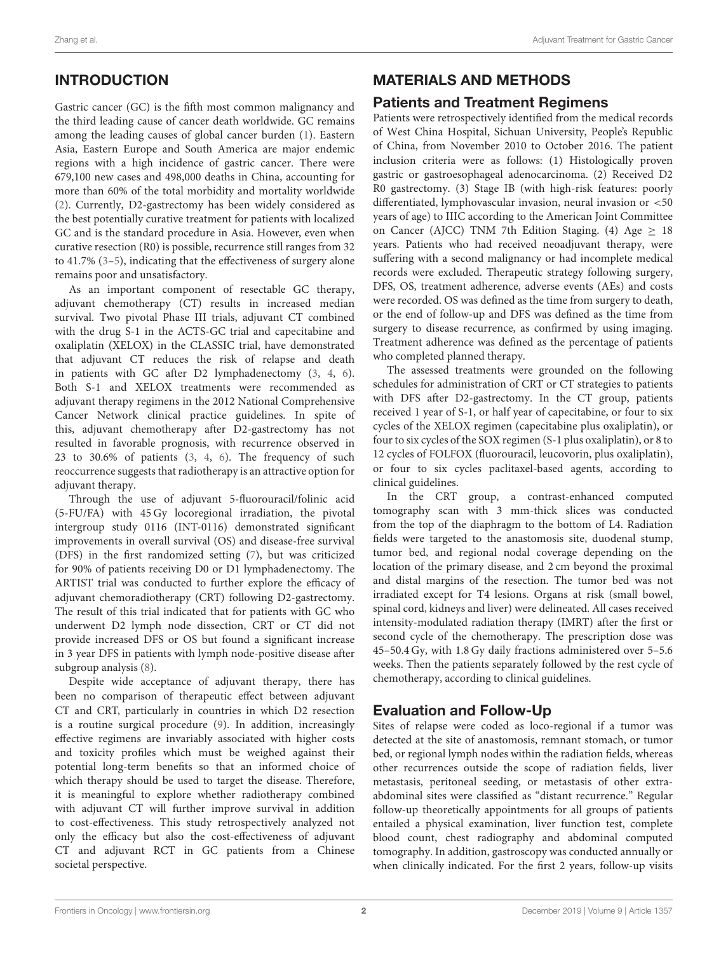# INTRODUCTION

Gastric cancer (GC) is the fifth most common malignancy and the third leading cause of cancer death worldwide. GC remains among the leading causes of global cancer burden [\(1\)](#page-9-0). Eastern Asia, Eastern Europe and South America are major endemic regions with a high incidence of gastric cancer. There were 679,100 new cases and 498,000 deaths in China, accounting for more than 60% of the total morbidity and mortality worldwide [\(2\)](#page-9-1). Currently, D2-gastrectomy has been widely considered as the best potentially curative treatment for patients with localized GC and is the standard procedure in Asia. However, even when curative resection (R0) is possible, recurrence still ranges from 32 to 41.7% [\(3](#page-9-2)[–5\)](#page-9-3), indicating that the effectiveness of surgery alone remains poor and unsatisfactory.

As an important component of resectable GC therapy, adjuvant chemotherapy (CT) results in increased median survival. Two pivotal Phase III trials, adjuvant CT combined with the drug S-1 in the ACTS-GC trial and capecitabine and oxaliplatin (XELOX) in the CLASSIC trial, have demonstrated that adjuvant CT reduces the risk of relapse and death in patients with GC after D2 lymphadenectomy [\(3,](#page-9-2) [4,](#page-9-4) [6\)](#page-9-5). Both S-1 and XELOX treatments were recommended as adjuvant therapy regimens in the 2012 National Comprehensive Cancer Network clinical practice guidelines. In spite of this, adjuvant chemotherapy after D2-gastrectomy has not resulted in favorable prognosis, with recurrence observed in 23 to 30.6% of patients [\(3,](#page-9-2) [4,](#page-9-4) [6\)](#page-9-5). The frequency of such reoccurrence suggests that radiotherapy is an attractive option for adjuvant therapy.

Through the use of adjuvant 5-fluorouracil/folinic acid (5-FU/FA) with 45 Gy locoregional irradiation, the pivotal intergroup study 0116 (INT-0116) demonstrated significant improvements in overall survival (OS) and disease-free survival (DFS) in the first randomized setting [\(7\)](#page-9-6), but was criticized for 90% of patients receiving D0 or D1 lymphadenectomy. The ARTIST trial was conducted to further explore the efficacy of adjuvant chemoradiotherapy (CRT) following D2-gastrectomy. The result of this trial indicated that for patients with GC who underwent D2 lymph node dissection, CRT or CT did not provide increased DFS or OS but found a significant increase in 3 year DFS in patients with lymph node-positive disease after subgroup analysis [\(8\)](#page-9-7).

Despite wide acceptance of adjuvant therapy, there has been no comparison of therapeutic effect between adjuvant CT and CRT, particularly in countries in which D2 resection is a routine surgical procedure [\(9\)](#page-9-8). In addition, increasingly effective regimens are invariably associated with higher costs and toxicity profiles which must be weighed against their potential long-term benefits so that an informed choice of which therapy should be used to target the disease. Therefore, it is meaningful to explore whether radiotherapy combined with adjuvant CT will further improve survival in addition to cost-effectiveness. This study retrospectively analyzed not only the efficacy but also the cost-effectiveness of adjuvant CT and adjuvant RCT in GC patients from a Chinese societal perspective.

# MATERIALS AND METHODS

# Patients and Treatment Regimens

Patients were retrospectively identified from the medical records of West China Hospital, Sichuan University, People's Republic of China, from November 2010 to October 2016. The patient inclusion criteria were as follows: (1) Histologically proven gastric or gastroesophageal adenocarcinoma. (2) Received D2 R0 gastrectomy. (3) Stage IB (with high-risk features: poorly differentiated, lymphovascular invasion, neural invasion or <50 years of age) to IIIC according to the American Joint Committee on Cancer (AJCC) TNM 7th Edition Staging. (4) Age  $\geq$  18 years. Patients who had received neoadjuvant therapy, were suffering with a second malignancy or had incomplete medical records were excluded. Therapeutic strategy following surgery, DFS, OS, treatment adherence, adverse events (AEs) and costs were recorded. OS was defined as the time from surgery to death, or the end of follow-up and DFS was defined as the time from surgery to disease recurrence, as confirmed by using imaging. Treatment adherence was defined as the percentage of patients who completed planned therapy.

The assessed treatments were grounded on the following schedules for administration of CRT or CT strategies to patients with DFS after D2-gastrectomy. In the CT group, patients received 1 year of S-1, or half year of capecitabine, or four to six cycles of the XELOX regimen (capecitabine plus oxaliplatin), or four to six cycles of the SOX regimen (S-1 plus oxaliplatin), or 8 to 12 cycles of FOLFOX (fluorouracil, leucovorin, plus oxaliplatin), or four to six cycles paclitaxel-based agents, according to clinical guidelines.

In the CRT group, a contrast-enhanced computed tomography scan with 3 mm-thick slices was conducted from the top of the diaphragm to the bottom of L4. Radiation fields were targeted to the anastomosis site, duodenal stump, tumor bed, and regional nodal coverage depending on the location of the primary disease, and 2 cm beyond the proximal and distal margins of the resection. The tumor bed was not irradiated except for T4 lesions. Organs at risk (small bowel, spinal cord, kidneys and liver) were delineated. All cases received intensity-modulated radiation therapy (IMRT) after the first or second cycle of the chemotherapy. The prescription dose was 45–50.4 Gy, with 1.8 Gy daily fractions administered over 5–5.6 weeks. Then the patients separately followed by the rest cycle of chemotherapy, according to clinical guidelines.

# Evaluation and Follow-Up

Sites of relapse were coded as loco-regional if a tumor was detected at the site of anastomosis, remnant stomach, or tumor bed, or regional lymph nodes within the radiation fields, whereas other recurrences outside the scope of radiation fields, liver metastasis, peritoneal seeding, or metastasis of other extraabdominal sites were classified as "distant recurrence." Regular follow-up theoretically appointments for all groups of patients entailed a physical examination, liver function test, complete blood count, chest radiography and abdominal computed tomography. In addition, gastroscopy was conducted annually or when clinically indicated. For the first 2 years, follow-up visits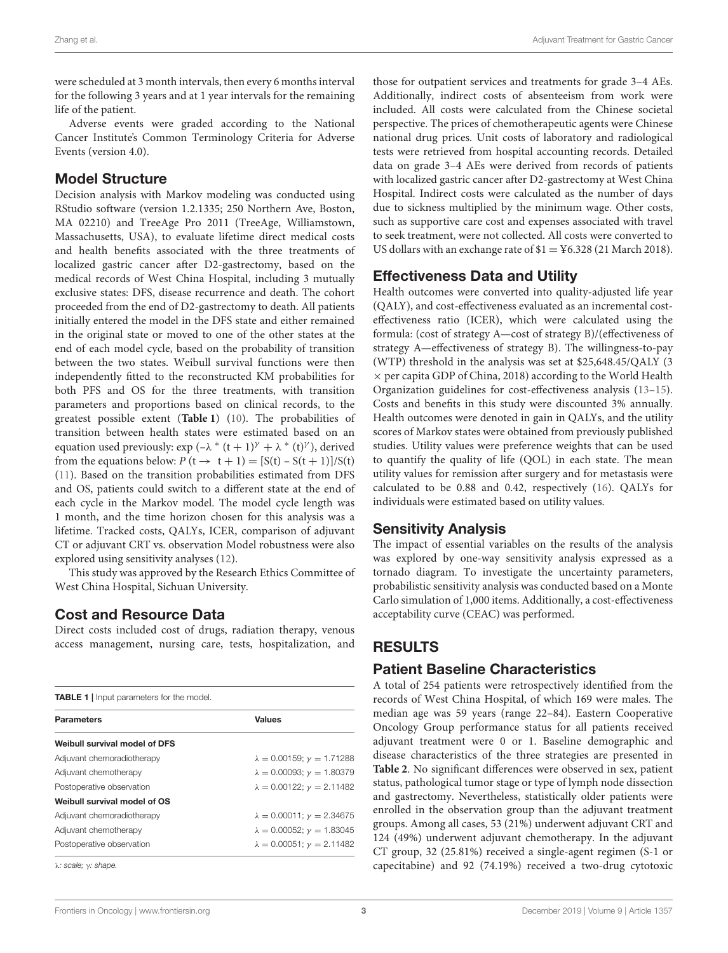were scheduled at 3 month intervals, then every 6 months interval for the following 3 years and at 1 year intervals for the remaining life of the patient.

Adverse events were graded according to the National Cancer Institute's Common Terminology Criteria for Adverse Events (version 4.0).

# Model Structure

Decision analysis with Markov modeling was conducted using RStudio software (version 1.2.1335; 250 Northern Ave, Boston, MA 02210) and TreeAge Pro 2011 (TreeAge, Williamstown, Massachusetts, USA), to evaluate lifetime direct medical costs and health benefits associated with the three treatments of localized gastric cancer after D2-gastrectomy, based on the medical records of West China Hospital, including 3 mutually exclusive states: DFS, disease recurrence and death. The cohort proceeded from the end of D2-gastrectomy to death. All patients initially entered the model in the DFS state and either remained in the original state or moved to one of the other states at the end of each model cycle, based on the probability of transition between the two states. Weibull survival functions were then independently fitted to the reconstructed KM probabilities for both PFS and OS for the three treatments, with transition parameters and proportions based on clinical records, to the greatest possible extent (**[Table 1](#page-2-0)**) [\(10\)](#page-9-9). The probabilities of transition between health states were estimated based on an equation used previously:  $\exp(-\lambda * (t+1)^{\gamma} + \lambda * (t)^{\gamma})$ , derived from the equations below:  $P(t \rightarrow t + 1) = [S(t) - S(t + 1)]/S(t)$ [\(11\)](#page-9-10). Based on the transition probabilities estimated from DFS and OS, patients could switch to a different state at the end of each cycle in the Markov model. The model cycle length was 1 month, and the time horizon chosen for this analysis was a lifetime. Tracked costs, QALYs, ICER, comparison of adjuvant CT or adjuvant CRT vs. observation Model robustness were also explored using sensitivity analyses [\(12\)](#page-9-11).

This study was approved by the Research Ethics Committee of West China Hospital, Sichuan University.

# Cost and Resource Data

Direct costs included cost of drugs, radiation therapy, venous access management, nursing care, tests, hospitalization, and

<span id="page-2-0"></span>

| <b>Parameters</b>             | <b>Values</b>                            |  |
|-------------------------------|------------------------------------------|--|
| Weibull survival model of DFS |                                          |  |
| Adjuvant chemoradiotherapy    | $\lambda = 0.00159$ ; $\nu = 1.71288$    |  |
| Adjuvant chemotherapy         | $\lambda = 0.00093; \gamma = 1.80379$    |  |
| Postoperative observation     | $\lambda = 0.00122$ ; $\nu = 2.11482$    |  |
| Weibull survival model of OS  |                                          |  |
| Adjuvant chemoradiotherapy    | $\lambda = 0.00011$ ; $\nu = 2.34675$    |  |
| Adjuvant chemotherapy         | $\lambda = 0.00052$ ; $\gamma = 1.83045$ |  |
| Postoperative observation     | $\lambda = 0.00051$ ; $\gamma = 2.11482$ |  |

those for outpatient services and treatments for grade 3–4 AEs. Additionally, indirect costs of absenteeism from work were included. All costs were calculated from the Chinese societal perspective. The prices of chemotherapeutic agents were Chinese national drug prices. Unit costs of laboratory and radiological tests were retrieved from hospital accounting records. Detailed data on grade 3–4 AEs were derived from records of patients with localized gastric cancer after D2-gastrectomy at West China Hospital. Indirect costs were calculated as the number of days due to sickness multiplied by the minimum wage. Other costs, such as supportive care cost and expenses associated with travel to seek treatment, were not collected. All costs were converted to US dollars with an exchange rate of  $$1 = Y6.328 (21 \text{ March } 2018).$ 

# Effectiveness Data and Utility

Health outcomes were converted into quality-adjusted life year (QALY), and cost-effectiveness evaluated as an incremental costeffectiveness ratio (ICER), which were calculated using the formula: (cost of strategy A—cost of strategy B)/(effectiveness of strategy A—effectiveness of strategy B). The willingness-to-pay (WTP) threshold in the analysis was set at \$25,648.45/QALY (3  $\times$  per capita GDP of China, 2018) according to the World Health Organization guidelines for cost-effectiveness analysis [\(13–](#page-9-12)[15\)](#page-9-13). Costs and benefits in this study were discounted 3% annually. Health outcomes were denoted in gain in QALYs, and the utility scores of Markov states were obtained from previously published studies. Utility values were preference weights that can be used to quantify the quality of life (QOL) in each state. The mean utility values for remission after surgery and for metastasis were calculated to be 0.88 and 0.42, respectively [\(16\)](#page-9-14). QALYs for individuals were estimated based on utility values.

# Sensitivity Analysis

The impact of essential variables on the results of the analysis was explored by one-way sensitivity analysis expressed as a tornado diagram. To investigate the uncertainty parameters, probabilistic sensitivity analysis was conducted based on a Monte Carlo simulation of 1,000 items. Additionally, a cost-effectiveness acceptability curve (CEAC) was performed.

# RESULTS

# Patient Baseline Characteristics

A total of 254 patients were retrospectively identified from the records of West China Hospital, of which 169 were males. The median age was 59 years (range 22–84). Eastern Cooperative Oncology Group performance status for all patients received adjuvant treatment were 0 or 1. Baseline demographic and disease characteristics of the three strategies are presented in **[Table 2](#page-3-0)**. No significant differences were observed in sex, patient status, pathological tumor stage or type of lymph node dissection and gastrectomy. Nevertheless, statistically older patients were enrolled in the observation group than the adjuvant treatment groups. Among all cases, 53 (21%) underwent adjuvant CRT and 124 (49%) underwent adjuvant chemotherapy. In the adjuvant CT group, 32 (25.81%) received a single-agent regimen (S-1 or capecitabine) and 92 (74.19%) received a two-drug cytotoxic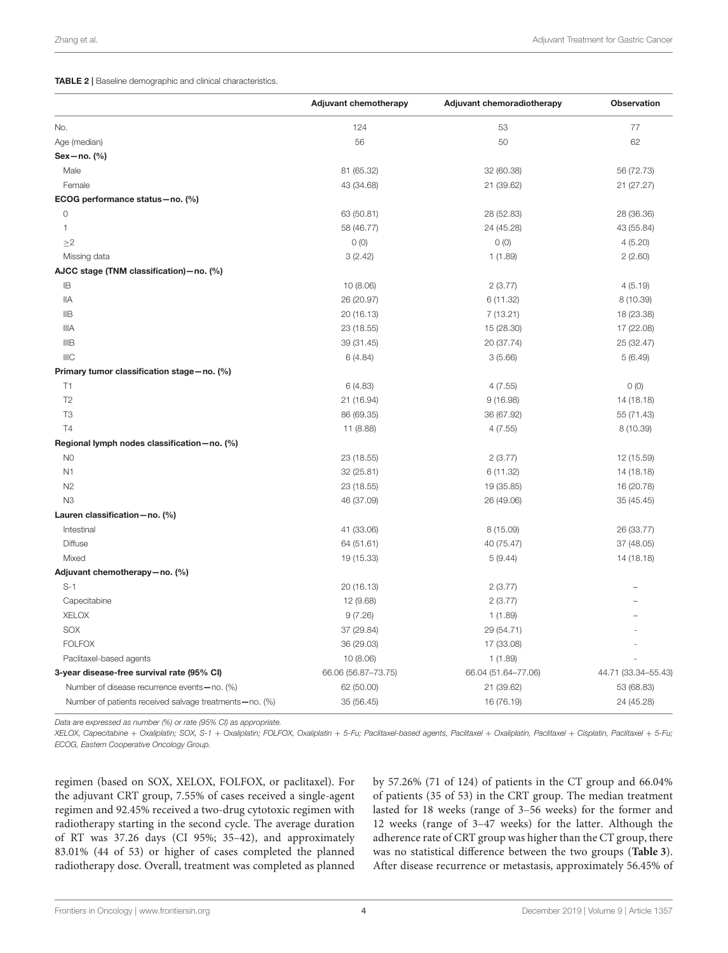<span id="page-3-0"></span>TABLE 2 | Baseline demographic and clinical characteristics.

|                                                        | <b>Adjuvant chemotherapy</b> | Adjuvant chemoradiotherapy | <b>Observation</b>  |
|--------------------------------------------------------|------------------------------|----------------------------|---------------------|
| No.                                                    | 124                          | 53                         | 77                  |
| Age (median)                                           | 56                           | 50                         | 62                  |
| Sex-no. (%)                                            |                              |                            |                     |
| Male                                                   | 81 (65.32)                   | 32 (60.38)                 | 56 (72.73)          |
| Female                                                 | 43 (34.68)                   | 21 (39.62)                 | 21 (27.27)          |
| ECOG performance status-no. (%)                        |                              |                            |                     |
| 0                                                      | 63 (50.81)                   | 28 (52.83)                 | 28 (36.36)          |
| 1                                                      | 58 (46.77)                   | 24 (45.28)                 | 43 (55.84)          |
| $\geq$ 2                                               | 0(0)                         | 0(0)                       | 4(5.20)             |
| Missing data                                           | 3(2.42)                      | 1(1.89)                    | 2(2.60)             |
| AJCC stage (TNM classification) - no. (%)              |                              |                            |                     |
| IB                                                     | 10 (8.06)                    | 2(3.77)                    | 4(5.19)             |
| ΙIΑ                                                    | 26 (20.97)                   | 6 (11.32)                  | 8 (10.39)           |
| IIB                                                    | 20 (16.13)                   | 7(13.21)                   | 18 (23.38)          |
| <b>IIIA</b>                                            | 23 (18.55)                   | 15 (28.30)                 | 17 (22.08)          |
| IIIB                                                   | 39 (31.45)                   | 20 (37.74)                 | 25 (32.47)          |
| <b>IIIC</b>                                            | 6(4.84)                      | 3(5.66)                    | 5(6.49)             |
| Primary tumor classification stage-no. (%)             |                              |                            |                     |
| T1                                                     | 6(4.83)                      | 4(7.55)                    | 0(0)                |
| T <sub>2</sub>                                         | 21 (16.94)                   | 9(16.98)                   | 14 (18.18)          |
| T <sub>3</sub>                                         | 86 (69.35)                   | 36 (67.92)                 | 55 (71.43)          |
| <b>T4</b>                                              | 11 (8.88)                    | 4(7.55)                    | 8 (10.39)           |
| Regional lymph nodes classification-no. (%)            |                              |                            |                     |
| N <sub>0</sub>                                         | 23 (18.55)                   | 2(3.77)                    | 12 (15.59)          |
| N <sub>1</sub>                                         | 32 (25.81)                   | 6 (11.32)                  | 14 (18.18)          |
| N <sub>2</sub>                                         | 23 (18.55)                   | 19 (35.85)                 | 16 (20.78)          |
| N <sub>3</sub>                                         | 46 (37.09)                   | 26 (49.06)                 | 35 (45.45)          |
| Lauren classification-no. (%)                          |                              |                            |                     |
| Intestinal                                             | 41 (33.06)                   | 8 (15.09)                  | 26 (33.77)          |
| <b>Diffuse</b>                                         | 64 (51.61)                   | 40 (75.47)                 | 37 (48.05)          |
| Mixed                                                  | 19 (15.33)                   | 5(9.44)                    | 14 (18.18)          |
| Adjuvant chemotherapy-no. (%)                          |                              |                            |                     |
| $S-1$                                                  | 20 (16.13)                   | 2(3.77)                    |                     |
| Capecitabine                                           | 12 (9.68)                    | 2(3.77)                    |                     |
| <b>XELOX</b>                                           | 9(7.26)                      | 1(1.89)                    |                     |
| SOX                                                    | 37 (29.84)                   | 29 (54.71)                 |                     |
| <b>FOLFOX</b>                                          | 36 (29.03)                   | 17 (33.08)                 |                     |
| Paclitaxel-based agents                                | 10 (8.06)                    | 1(1.89)                    |                     |
| 3-year disease-free survival rate (95% CI)             | 66.06 (56.87-73.75)          | 66.04 (51.64-77.06)        | 44.71 (33.34-55.43) |
| Number of disease recurrence events-no. (%)            | 62 (50.00)                   | 21 (39.62)                 | 53 (68.83)          |
| Number of patients received salvage treatments-no. (%) | 35 (56.45)                   | 16 (76.19)                 | 24 (45.28)          |

*Data are expressed as number (%) or rate (95% CI) as appropriate.*

XELOX, Capecitabine + Oxaliplatin; SOX, S-1 + Oxaliplatin; FOLFOX, Oxaliplatin + 5-Fu; Paclitaxel-based agents, Paclitaxel + Oxaliplatin, Paclitaxel + Cisplatin, Paclitaxel + 5-Fu; *ECOG, Eastern Cooperative Oncology Group.*

regimen (based on SOX, XELOX, FOLFOX, or paclitaxel). For the adjuvant CRT group, 7.55% of cases received a single-agent regimen and 92.45% received a two-drug cytotoxic regimen with radiotherapy starting in the second cycle. The average duration of RT was 37.26 days (CI 95%; 35–42), and approximately 83.01% (44 of 53) or higher of cases completed the planned radiotherapy dose. Overall, treatment was completed as planned by 57.26% (71 of 124) of patients in the CT group and 66.04% of patients (35 of 53) in the CRT group. The median treatment lasted for 18 weeks (range of 3–56 weeks) for the former and 12 weeks (range of 3–47 weeks) for the latter. Although the adherence rate of CRT group was higher than the CT group, there was no statistical difference between the two groups (**[Table 3](#page-4-0)**). After disease recurrence or metastasis, approximately 56.45% of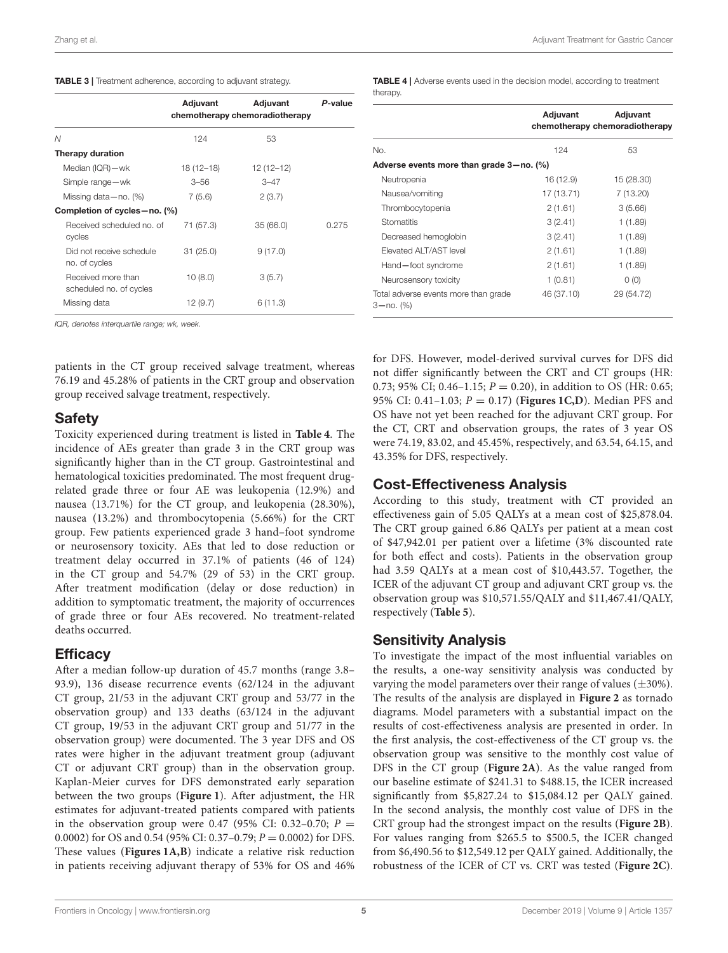<span id="page-4-0"></span>

|                                               | Adjuvant<br>Adjuvant<br>P-value<br>chemotherapy chemoradiotherapy |             |       |
|-----------------------------------------------|-------------------------------------------------------------------|-------------|-------|
| N                                             | 124                                                               | 53          |       |
| Therapy duration                              |                                                                   |             |       |
| Median (IQR)-wk                               | 18 (12–18)                                                        | $12(12-12)$ |       |
| Simple range-wk                               | $3 - 56$                                                          | $3 - 47$    |       |
| Missing data $-$ no. $(\%)$                   | 7(5.6)                                                            | 2(3.7)      |       |
| Completion of cycles - no. (%)                |                                                                   |             |       |
| Received scheduled no. of<br>cycles           | 71 (57.3)                                                         | 35(66.0)    | 0.275 |
| Did not receive schedule<br>no. of cycles     | 31(25.0)                                                          | 9(17.0)     |       |
| Received more than<br>scheduled no. of cycles | 10(8.0)                                                           | 3(5.7)      |       |
| Missing data                                  | 12 (9.7)                                                          | 6 (11.3)    |       |

*IQR, denotes interquartile range; wk, week.*

patients in the CT group received salvage treatment, whereas 76.19 and 45.28% of patients in the CRT group and observation group received salvage treatment, respectively.

### **Safety**

Toxicity experienced during treatment is listed in **[Table 4](#page-4-1)**. The incidence of AEs greater than grade 3 in the CRT group was significantly higher than in the CT group. Gastrointestinal and hematological toxicities predominated. The most frequent drugrelated grade three or four AE was leukopenia (12.9%) and nausea (13.71%) for the CT group, and leukopenia (28.30%), nausea (13.2%) and thrombocytopenia (5.66%) for the CRT group. Few patients experienced grade 3 hand–foot syndrome or neurosensory toxicity. AEs that led to dose reduction or treatment delay occurred in 37.1% of patients (46 of 124) in the CT group and 54.7% (29 of 53) in the CRT group. After treatment modification (delay or dose reduction) in addition to symptomatic treatment, the majority of occurrences of grade three or four AEs recovered. No treatment-related deaths occurred.

### **Efficacy**

After a median follow-up duration of 45.7 months (range 3.8– 93.9), 136 disease recurrence events (62/124 in the adjuvant CT group, 21/53 in the adjuvant CRT group and 53/77 in the observation group) and 133 deaths (63/124 in the adjuvant CT group, 19/53 in the adjuvant CRT group and 51/77 in the observation group) were documented. The 3 year DFS and OS rates were higher in the adjuvant treatment group (adjuvant CT or adjuvant CRT group) than in the observation group. Kaplan-Meier curves for DFS demonstrated early separation between the two groups (**[Figure 1](#page-5-0)**). After adjustment, the HR estimates for adjuvant-treated patients compared with patients in the observation group were 0.47 (95% CI: 0.32-0.70;  $P =$ 0.0002) for OS and 0.54 (95% CI: 0.37–0.79;  $P = 0.0002$ ) for DFS. These values (**[Figures 1A,B](#page-5-0)**) indicate a relative risk reduction in patients receiving adjuvant therapy of 53% for OS and 46% <span id="page-4-1"></span>TABLE 4 | Adverse events used in the decision model, according to treatment therapy.

|                                                       | Adjuvant   | Adjuvant<br>chemotherapy chemoradiotherapy |
|-------------------------------------------------------|------------|--------------------------------------------|
| No.                                                   | 124        | 53                                         |
| Adverse events more than grade 3-no. (%)              |            |                                            |
| Neutropenia                                           | 16 (12.9)  | 15 (28.30)                                 |
| Nausea/vomiting                                       | 17 (13.71) | 7 (13.20)                                  |
| Thrombocytopenia                                      | 2(1.61)    | 3(5.66)                                    |
| Stomatitis                                            | 3(2.41)    | 1(1.89)                                    |
| Decreased hemoglobin                                  | 3(2.41)    | 1(1.89)                                    |
| <b>Flevated ALT/AST level</b>                         | 2(1.61)    | 1(1.89)                                    |
| Hand-foot syndrome                                    | 2(1.61)    | 1(1.89)                                    |
| Neurosensory toxicity                                 | 1(0.81)    | O(0)                                       |
| Total adverse events more than grade<br>$3 - no.$ (%) | 46 (37.10) | 29 (54.72)                                 |

for DFS. However, model-derived survival curves for DFS did not differ significantly between the CRT and CT groups (HR: 0.73; 95% CI; 0.46–1.15;  $P = 0.20$ ), in addition to OS (HR: 0.65; 95% CI: 0.41–1.03; P = 0.17) (**[Figures 1C,D](#page-5-0)**). Median PFS and OS have not yet been reached for the adjuvant CRT group. For the CT, CRT and observation groups, the rates of 3 year OS were 74.19, 83.02, and 45.45%, respectively, and 63.54, 64.15, and 43.35% for DFS, respectively.

# Cost-Effectiveness Analysis

According to this study, treatment with CT provided an effectiveness gain of 5.05 QALYs at a mean cost of \$25,878.04. The CRT group gained 6.86 QALYs per patient at a mean cost of \$47,942.01 per patient over a lifetime (3% discounted rate for both effect and costs). Patients in the observation group had 3.59 QALYs at a mean cost of \$10,443.57. Together, the ICER of the adjuvant CT group and adjuvant CRT group vs. the observation group was \$10,571.55/QALY and \$11,467.41/QALY, respectively (**[Table 5](#page-6-0)**).

# Sensitivity Analysis

To investigate the impact of the most influential variables on the results, a one-way sensitivity analysis was conducted by varying the model parameters over their range of values  $(\pm 30\%)$ . The results of the analysis are displayed in **[Figure 2](#page-7-0)** as tornado diagrams. Model parameters with a substantial impact on the results of cost-effectiveness analysis are presented in order. In the first analysis, the cost-effectiveness of the CT group vs. the observation group was sensitive to the monthly cost value of DFS in the CT group (**[Figure 2A](#page-7-0)**). As the value ranged from our baseline estimate of \$241.31 to \$488.15, the ICER increased significantly from \$5,827.24 to \$15,084.12 per QALY gained. In the second analysis, the monthly cost value of DFS in the CRT group had the strongest impact on the results (**[Figure 2B](#page-7-0)**). For values ranging from \$265.5 to \$500.5, the ICER changed from \$6,490.56 to \$12,549.12 per QALY gained. Additionally, the robustness of the ICER of CT vs. CRT was tested (**[Figure 2C](#page-7-0)**).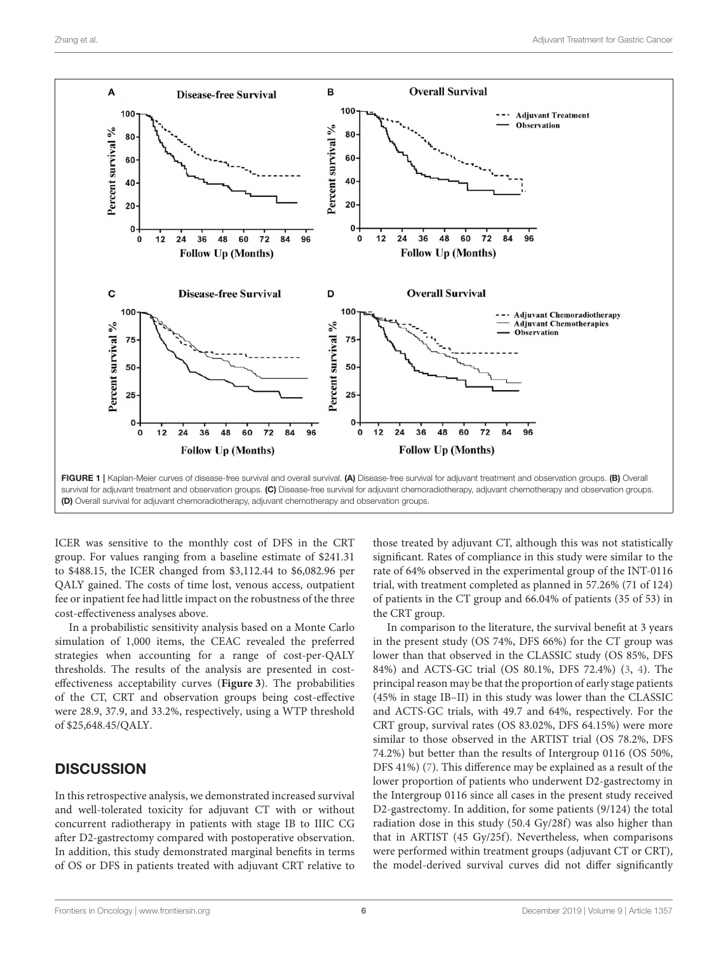

<span id="page-5-0"></span>ICER was sensitive to the monthly cost of DFS in the CRT group. For values ranging from a baseline estimate of \$241.31 to \$488.15, the ICER changed from \$3,112.44 to \$6,082.96 per QALY gained. The costs of time lost, venous access, outpatient fee or inpatient fee had little impact on the robustness of the three cost-effectiveness analyses above.

In a probabilistic sensitivity analysis based on a Monte Carlo simulation of 1,000 items, the CEAC revealed the preferred strategies when accounting for a range of cost-per-QALY thresholds. The results of the analysis are presented in costeffectiveness acceptability curves (**[Figure 3](#page-8-0)**). The probabilities of the CT, CRT and observation groups being cost-effective were 28.9, 37.9, and 33.2%, respectively, using a WTP threshold of \$25,648.45/QALY.

# **DISCUSSION**

In this retrospective analysis, we demonstrated increased survival and well-tolerated toxicity for adjuvant CT with or without concurrent radiotherapy in patients with stage IB to IIIC CG after D2-gastrectomy compared with postoperative observation. In addition, this study demonstrated marginal benefits in terms of OS or DFS in patients treated with adjuvant CRT relative to those treated by adjuvant CT, although this was not statistically significant. Rates of compliance in this study were similar to the rate of 64% observed in the experimental group of the INT-0116 trial, with treatment completed as planned in 57.26% (71 of 124) of patients in the CT group and 66.04% of patients (35 of 53) in the CRT group.

In comparison to the literature, the survival benefit at 3 years in the present study (OS 74%, DFS 66%) for the CT group was lower than that observed in the CLASSIC study (OS 85%, DFS 84%) and ACTS-GC trial (OS 80.1%, DFS 72.4%) [\(3,](#page-9-2) [4\)](#page-9-4). The principal reason may be that the proportion of early stage patients (45% in stage IB–II) in this study was lower than the CLASSIC and ACTS-GC trials, with 49.7 and 64%, respectively. For the CRT group, survival rates (OS 83.02%, DFS 64.15%) were more similar to those observed in the ARTIST trial (OS 78.2%, DFS 74.2%) but better than the results of Intergroup 0116 (OS 50%, DFS 41%) [\(7\)](#page-9-6). This difference may be explained as a result of the lower proportion of patients who underwent D2-gastrectomy in the Intergroup 0116 since all cases in the present study received D2-gastrectomy. In addition, for some patients (9/124) the total radiation dose in this study (50.4 Gy/28f) was also higher than that in ARTIST (45 Gy/25f). Nevertheless, when comparisons were performed within treatment groups (adjuvant CT or CRT), the model-derived survival curves did not differ significantly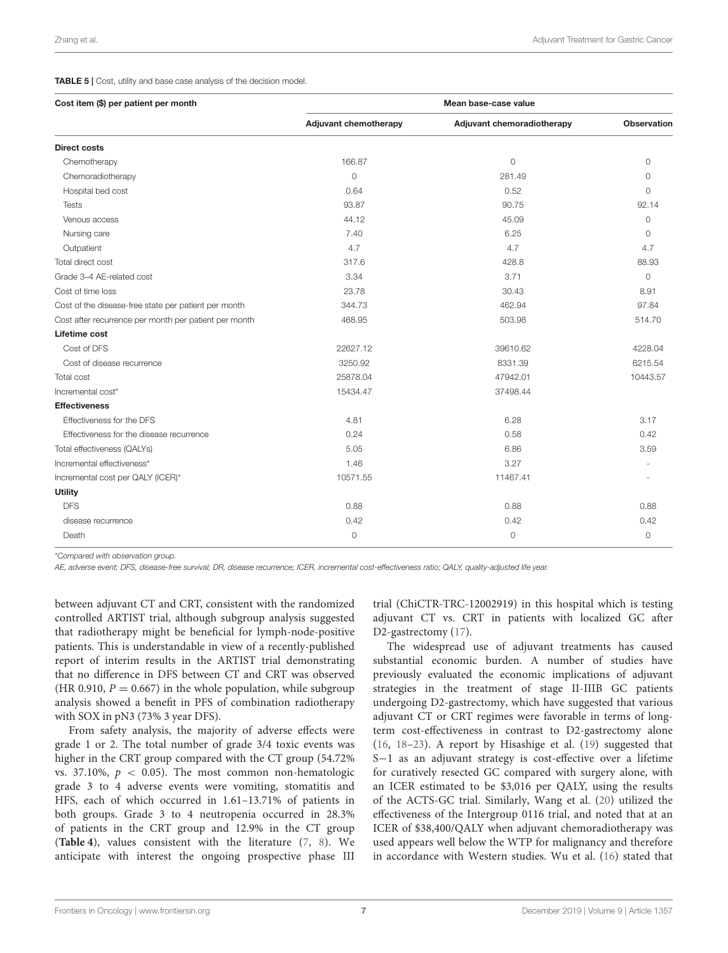#### <span id="page-6-0"></span>TABLE 5 | Cost, utility and base case analysis of the decision model.

| Cost item (\$) per patient per month                  | Mean base-case value         |                            |                    |  |
|-------------------------------------------------------|------------------------------|----------------------------|--------------------|--|
|                                                       | <b>Adjuvant chemotherapy</b> | Adjuvant chemoradiotherapy | <b>Observation</b> |  |
| <b>Direct costs</b>                                   |                              |                            |                    |  |
| Chemotherapy                                          | 166.87                       | $\circ$                    | $\Omega$           |  |
| Chemoradiotherapy                                     | $\circ$                      | 281.49                     | $\Omega$           |  |
| Hospital bed cost                                     | 0.64                         | 0.52                       | $\Omega$           |  |
| <b>Tests</b>                                          | 93.87                        | 90.75                      | 92.14              |  |
| Venous access                                         | 44.12                        | 45.09                      | $\Omega$           |  |
| Nursing care                                          | 7.40                         | 6.25                       | $\Omega$           |  |
| Outpatient                                            | 4.7                          | 4.7                        | 4.7                |  |
| Total direct cost                                     | 317.6                        | 428.8                      | 88.93              |  |
| Grade 3-4 AE-related cost                             | 3.34                         | 3.71                       | $\Omega$           |  |
| Cost of time loss                                     | 23.78                        | 30.43                      | 8.91               |  |
| Cost of the disease-free state per patient per month  | 344.73                       | 462.94                     | 97.84              |  |
| Cost after recurrence per month per patient per month | 468.95                       | 503.98                     | 514.70             |  |
| Lifetime cost                                         |                              |                            |                    |  |
| Cost of DFS                                           | 22627.12                     | 39610.62                   | 4228.04            |  |
| Cost of disease recurrence                            | 3250.92                      | 8331.39                    | 6215.54            |  |
| Total cost                                            | 25878.04                     | 47942.01                   | 10443.57           |  |
| Incremental cost*                                     | 15434.47                     | 37498.44                   |                    |  |
| <b>Effectiveness</b>                                  |                              |                            |                    |  |
| Effectiveness for the DFS                             | 4.81                         | 6.28                       | 3.17               |  |
| Effectiveness for the disease recurrence              | 0.24                         | 0.58                       | 0.42               |  |
| Total effectiveness (QALYs)                           | 5.05                         | 6.86                       | 3.59               |  |
| Incremental effectiveness*                            | 1.46                         | 3.27                       |                    |  |
| Incremental cost per QALY (ICER)*                     | 10571.55                     | 11467.41                   |                    |  |
| <b>Utility</b>                                        |                              |                            |                    |  |
| <b>DFS</b>                                            | 0.88                         | 0.88                       | 0.88               |  |
| disease recurrence                                    | 0.42                         | 0.42                       | 0.42               |  |
| Death                                                 | 0                            | $\circ$                    | 0                  |  |

\**Compared with observation group.*

*AE, adverse event; DFS, disease-free survival; DR, disease recurrence; ICER, incremental cost-effectiveness ratio; QALY, quality-adjusted life year.*

between adjuvant CT and CRT, consistent with the randomized controlled ARTIST trial, although subgroup analysis suggested that radiotherapy might be beneficial for lymph-node-positive patients. This is understandable in view of a recently-published report of interim results in the ARTIST trial demonstrating that no difference in DFS between CT and CRT was observed (HR 0.910,  $P = 0.667$ ) in the whole population, while subgroup analysis showed a benefit in PFS of combination radiotherapy with SOX in pN3 (73% 3 year DFS).

From safety analysis, the majority of adverse effects were grade 1 or 2. The total number of grade 3/4 toxic events was higher in the CRT group compared with the CT group (54.72% vs. 37.10%,  $p < 0.05$ ). The most common non-hematologic grade 3 to 4 adverse events were vomiting, stomatitis and HFS, each of which occurred in 1.61–13.71% of patients in both groups. Grade 3 to 4 neutropenia occurred in 28.3% of patients in the CRT group and 12.9% in the CT group (**[Table 4](#page-4-1)**), values consistent with the literature [\(7,](#page-9-6) [8\)](#page-9-7). We anticipate with interest the ongoing prospective phase III trial (ChiCTR-TRC-12002919) in this hospital which is testing adjuvant CT vs. CRT in patients with localized GC after D2-gastrectomy [\(17\)](#page-9-15).

The widespread use of adjuvant treatments has caused substantial economic burden. A number of studies have previously evaluated the economic implications of adjuvant strategies in the treatment of stage II-IIIB GC patients undergoing D2-gastrectomy, which have suggested that various adjuvant CT or CRT regimes were favorable in terms of longterm cost-effectiveness in contrast to D2-gastrectomy alone [\(16,](#page-9-14) [18–](#page-9-16)[23\)](#page-9-17). A report by Hisashige et al. [\(19\)](#page-9-18) suggested that S−1 as an adjuvant strategy is cost-effective over a lifetime for curatively resected GC compared with surgery alone, with an ICER estimated to be \$3,016 per QALY, using the results of the ACTS-GC trial. Similarly, Wang et al. [\(20\)](#page-9-19) utilized the effectiveness of the Intergroup 0116 trial, and noted that at an ICER of \$38,400/QALY when adjuvant chemoradiotherapy was used appears well below the WTP for malignancy and therefore in accordance with Western studies. Wu et al. [\(16\)](#page-9-14) stated that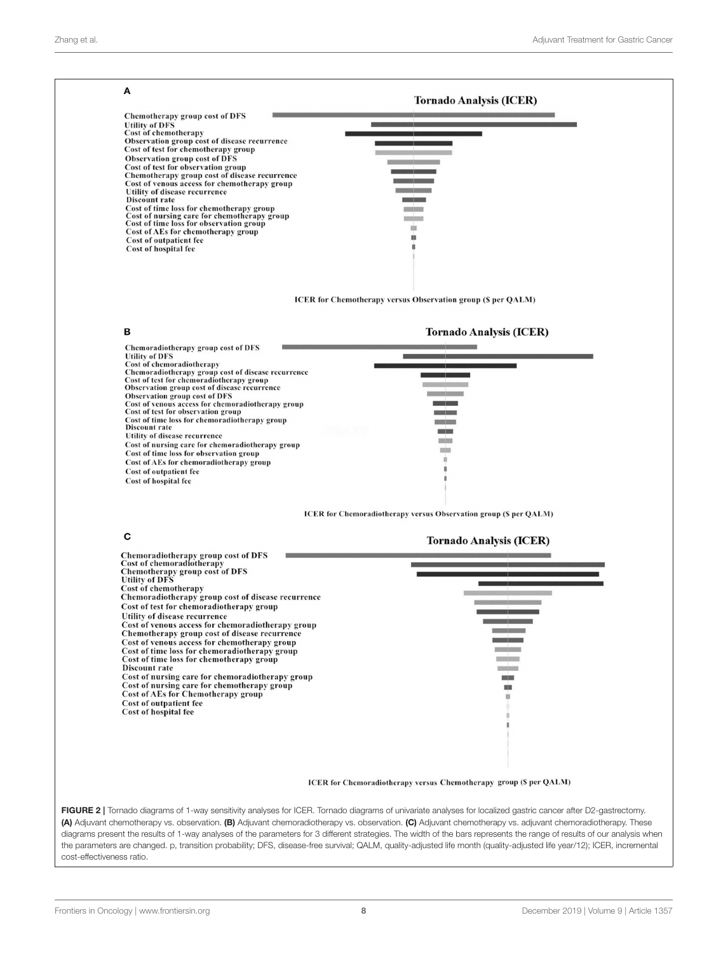<span id="page-7-0"></span>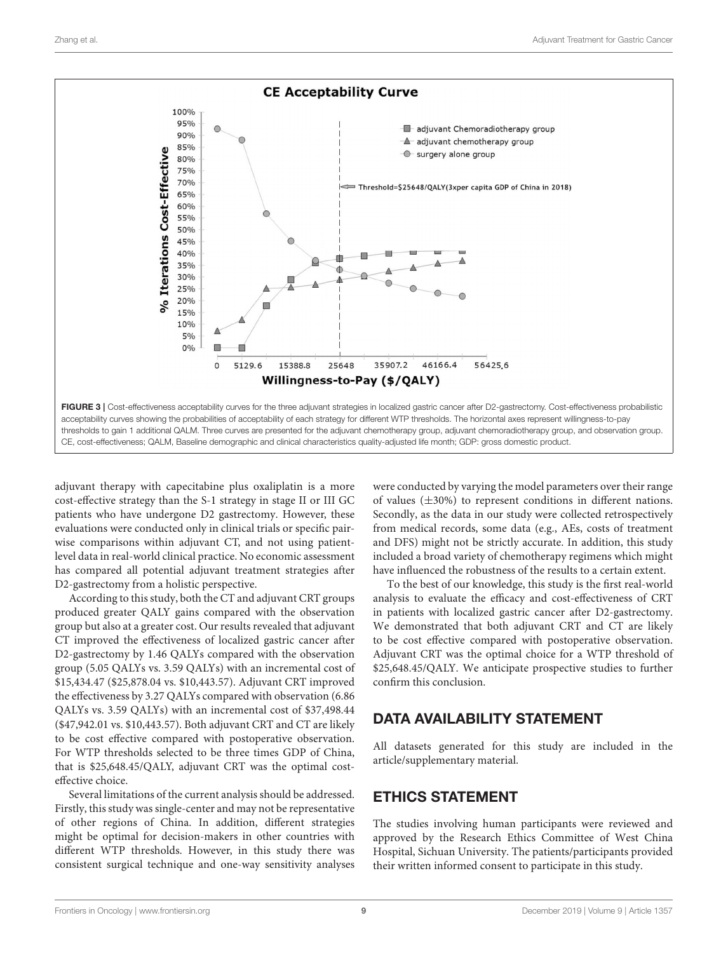

<span id="page-8-0"></span>adjuvant therapy with capecitabine plus oxaliplatin is a more cost-effective strategy than the S-1 strategy in stage II or III GC patients who have undergone D2 gastrectomy. However, these evaluations were conducted only in clinical trials or specific pairwise comparisons within adjuvant CT, and not using patientlevel data in real-world clinical practice. No economic assessment has compared all potential adjuvant treatment strategies after D2-gastrectomy from a holistic perspective.

According to this study, both the CT and adjuvant CRT groups produced greater QALY gains compared with the observation group but also at a greater cost. Our results revealed that adjuvant CT improved the effectiveness of localized gastric cancer after D2-gastrectomy by 1.46 QALYs compared with the observation group (5.05 QALYs vs. 3.59 QALYs) with an incremental cost of \$15,434.47 (\$25,878.04 vs. \$10,443.57). Adjuvant CRT improved the effectiveness by 3.27 QALYs compared with observation (6.86 QALYs vs. 3.59 QALYs) with an incremental cost of \$37,498.44 (\$47,942.01 vs. \$10,443.57). Both adjuvant CRT and CT are likely to be cost effective compared with postoperative observation. For WTP thresholds selected to be three times GDP of China, that is \$25,648.45/QALY, adjuvant CRT was the optimal costeffective choice.

Several limitations of the current analysis should be addressed. Firstly, this study was single-center and may not be representative of other regions of China. In addition, different strategies might be optimal for decision-makers in other countries with different WTP thresholds. However, in this study there was consistent surgical technique and one-way sensitivity analyses were conducted by varying the model parameters over their range of values  $(\pm 30\%)$  to represent conditions in different nations. Secondly, as the data in our study were collected retrospectively from medical records, some data (e.g., AEs, costs of treatment and DFS) might not be strictly accurate. In addition, this study included a broad variety of chemotherapy regimens which might have influenced the robustness of the results to a certain extent.

To the best of our knowledge, this study is the first real-world analysis to evaluate the efficacy and cost-effectiveness of CRT in patients with localized gastric cancer after D2-gastrectomy. We demonstrated that both adjuvant CRT and CT are likely to be cost effective compared with postoperative observation. Adjuvant CRT was the optimal choice for a WTP threshold of \$25,648.45/QALY. We anticipate prospective studies to further confirm this conclusion.

# DATA AVAILABILITY STATEMENT

All datasets generated for this study are included in the article/supplementary material.

# ETHICS STATEMENT

The studies involving human participants were reviewed and approved by the Research Ethics Committee of West China Hospital, Sichuan University. The patients/participants provided their written informed consent to participate in this study.